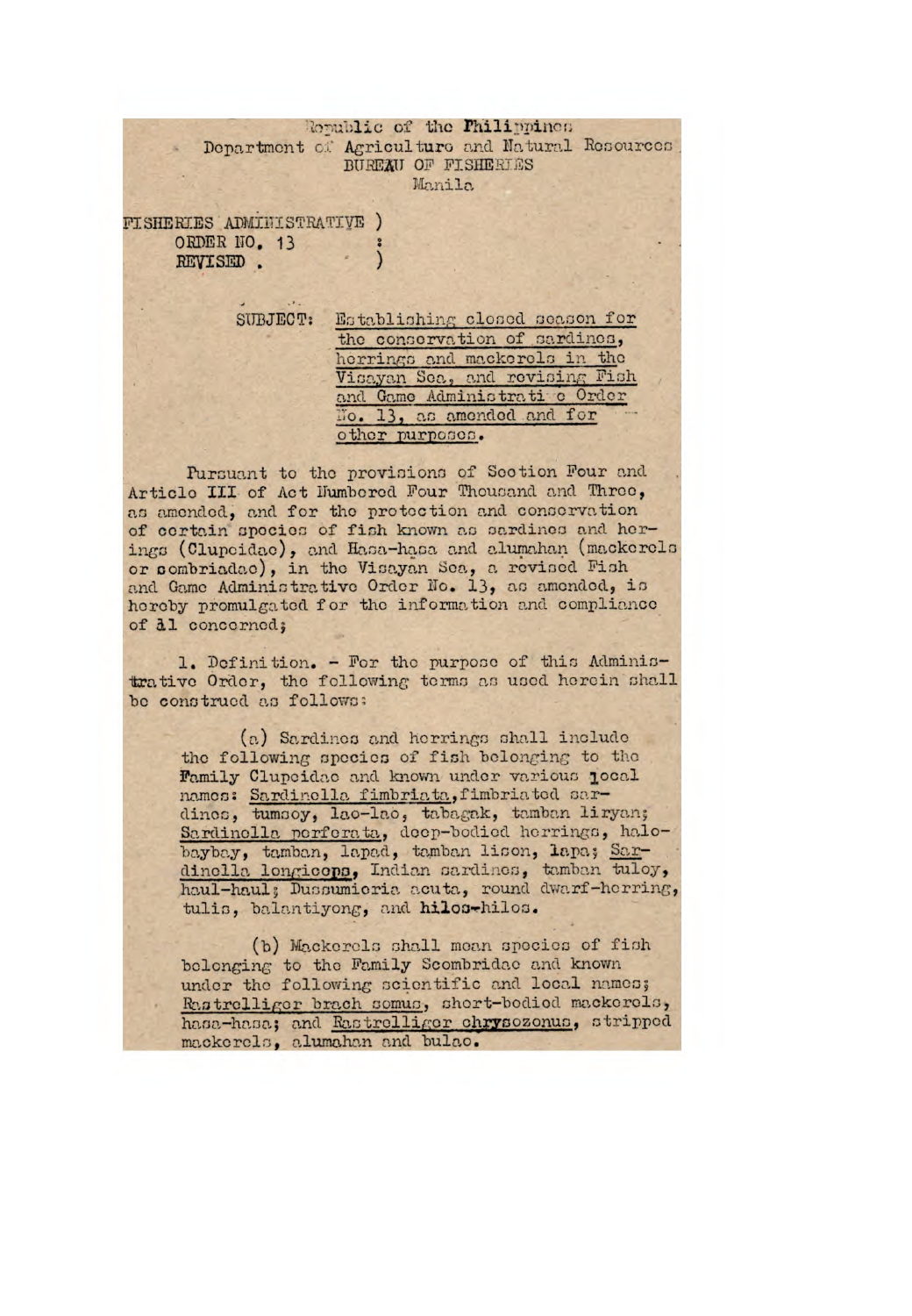Republic of the Philippines Department of Agriculture and Natural Resources BUREAU OF FISHERIES Manila

**FISHERIES ADMINISTRATIVE )** ORDER NO. 13 REVISED.

> SUBJECT: Establishing closed season for the conservation of sardines, herrings and mackerels in the Visayan Sea, and revising Fish and Game Administrati c Order No. 13, as amended and for other purposes.

Pursuant to the provisions of Section Four and Article III of Act Humbered Four Thousand and Three, as amended, and for the protection and conservation of certain species of fish known as sardines and herings (Clupcidae), and Hasa-hasa and alumahan (mackerels or combriadae), in the Visayan Sea, a revised Fish and Game Administrative Order No. 13, as amended, is hereby promulgated for the information and compliance of al concerned;

1. Definition. - For the purpose of this Administrative Order, the following terms as used herein shall be construed as follows:

(a) Sardines and herrings shall include the following species of fish belonging to the Family Clupcidae and known under various jocal names: Sardinella fimbriata, fimbriated sardinos, tumsoy, lao-lao, tabagak, tamban liryan; Sardinella perferata, deep-bodied herrings, halobaybay, tamban, lapad, tamban lison, lapa; Sardinella longicopa, Indian sardines, tamban tuloy, haul-haul; Dussumieria acuta, round dwarf-herring, tulis, balantiyong, and hilos-hilos.

(b) Mackerels shall mean species of fish belonging to the Family Scombridae and known under the following scientific and local names; Rastrolliger brach somus, short-bodied mackerels, hasa-hasa; and Rastrolliger chrysozonus, stripped mackerels, alumahan and bulao.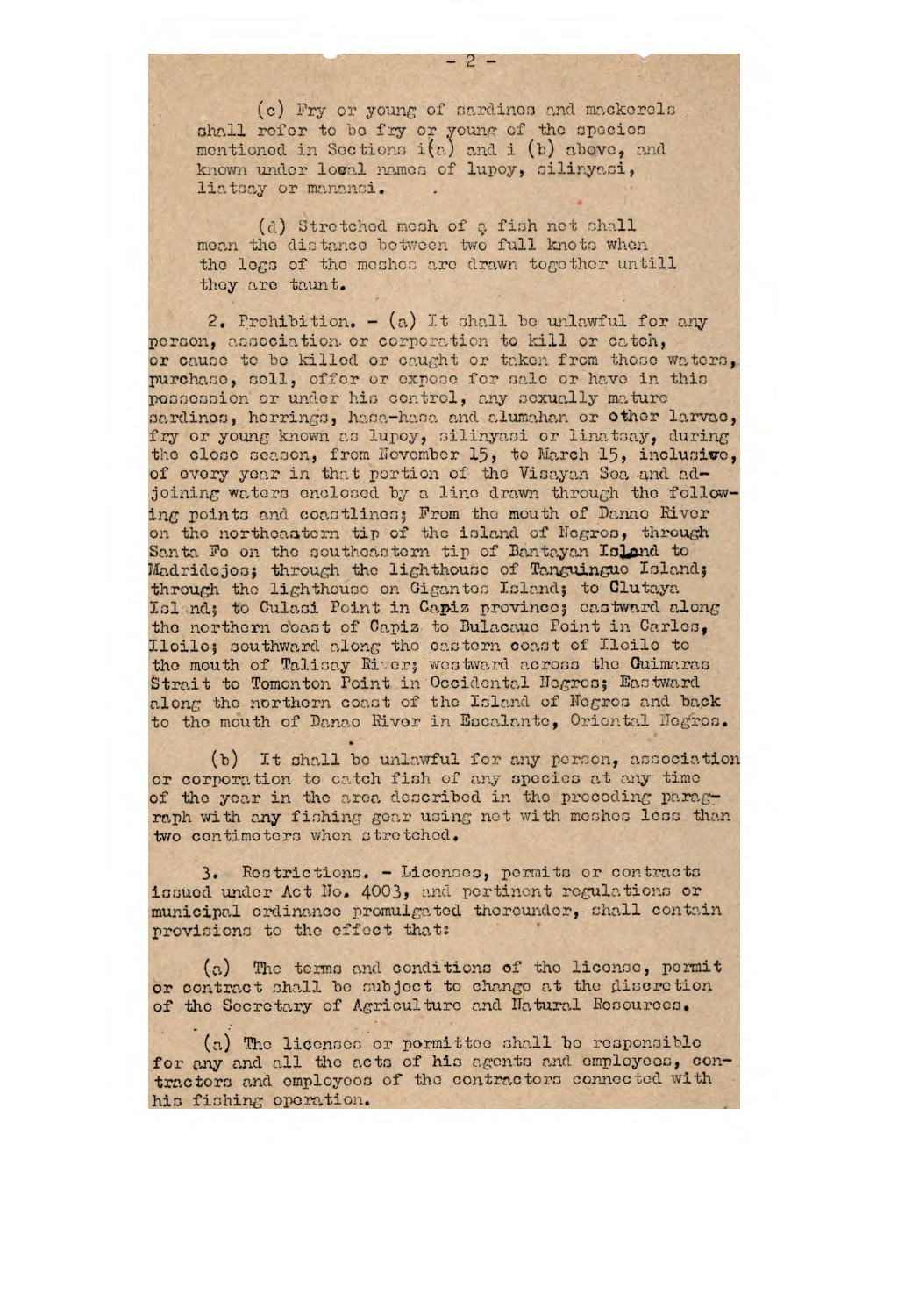(c) Fry or young of sardinos and mackerols shall refer to be fry or young of the species mentioned in Sections i(a) and i (b) above, and known under loval names of lupoy, silinyasi, liatsay or manansi.

(d) Stretchod mesh of a fish net shall mean the distance between two full knots when the logs of the meshes are drawn together untill they arc taunt.

2. Prohibition.  $-$  (a) It shall be unlawful for any person, association or corporation to kill or catch, or cause to be killed or caught or taken from those waters, purchase, sell, offer or expose for sale or have in this possossion or under his control, any sexually mature pardinos, horrings, hasa-hasa and alumahan or other larvae, fry or young known as lupoy, silinyasi or linatsay, during the close season, from November 15, to March 15, inclusive, of every year in that portion of the Visayan 3en and adjoining waters enclosed by a line drawn through the following points and coastlines; From the mouth of Danao River on the northeastern tip of the island of Negres, through Santa Fe on the southeastern tip of Bantayan Island to Madridejos; through the lighthouse of Tanguingue Island; through the lighthouse on Gigantes Lsland; to Clutaya Island; to Culasi Point in Capiz province; eastward along the northern coast of Capiz to Bulacauc Point in Carles. Iloilo; oouthward along the cactorn coast of Iloilo to the mouth of Talisay River; westward across the Guimaras Strait to Tomonton Point in Occidental Negros; Eastward along the northern coast of the Island of Negros and back to the mouth of Danao River in Escalante, Oriental Negros.

(b) It shall be unlawful for any person, association or corporation to catch fish of any species at any time of the year in the area described in the preceding paragraph with any fishing gear using net with meshes less than two centimeters when stretched.

3. Restrictions. - Liconses, permits or contracts issued under Act No. 4003, and pertinent regulations or municipal ordinance promulgated thereunder, chall contain provisions to the effect that:

 $(a)$  The terms and conditions of the license, pormit or contract shall be subject to change at the discretion of the Secretary of Agriculture and Natural Resources.

 $(a)$  The licenses or pormittee shall be responsible for any and all the acts of his agents and employees, contractors and employees of the contractors connected with hie fiching operation.